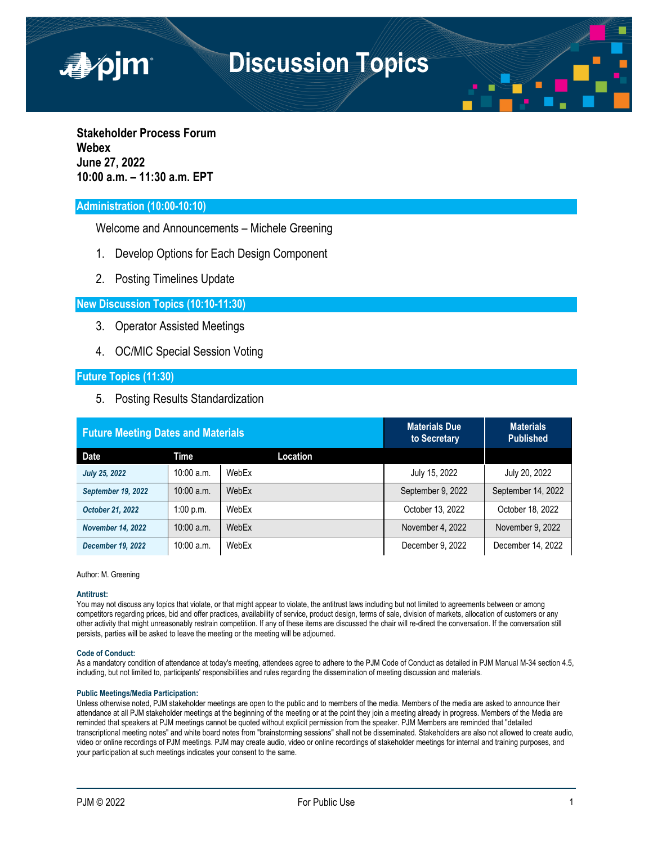

**Stakeholder Process Forum Webex June 27, 2022 10:00 a.m. – 11:30 a.m. EPT**

■pjm

# **Administration (10:00-10:10)**

Welcome and Announcements – Michele Greening

- 1. Develop Options for Each Design Component
- 2. Posting Timelines Update

## **New Discussion Topics (10:10-11:30)**

- 3. Operator Assisted Meetings
- 4. OC/MIC Special Session Voting

## **Future Topics (11:30)**

5. Posting Results Standardization

| <b>Future Meeting Dates and Materials</b> |              |          | <b>Materials Due</b><br>to Secretary | <b>Materials</b><br><b>Published</b> |
|-------------------------------------------|--------------|----------|--------------------------------------|--------------------------------------|
| Date                                      | Time         | Location |                                      |                                      |
| <b>July 25, 2022</b>                      | $10:00$ a.m. | WebEx    | July 15, 2022                        | July 20, 2022                        |
| September 19, 2022                        | $10:00$ a.m. | WebEx    | September 9, 2022                    | September 14, 2022                   |
| October 21, 2022                          | 1:00 p.m.    | WebEx    | October 13, 2022                     | October 18, 2022                     |
| <b>November 14, 2022</b>                  | $10:00$ a.m. | WebEx    | November 4, 2022                     | November 9, 2022                     |
| <b>December 19, 2022</b>                  | $10:00$ a.m. | WebEx    | December 9, 2022                     | December 14, 2022                    |

Author: M. Greening

#### **Antitrust:**

You may not discuss any topics that violate, or that might appear to violate, the antitrust laws including but not limited to agreements between or among competitors regarding prices, bid and offer practices, availability of service, product design, terms of sale, division of markets, allocation of customers or any other activity that might unreasonably restrain competition. If any of these items are discussed the chair will re-direct the conversation. If the conversation still persists, parties will be asked to leave the meeting or the meeting will be adjourned.

#### **Code of Conduct:**

As a mandatory condition of attendance at today's meeting, attendees agree to adhere to the PJM Code of Conduct as detailed in PJM Manual M-34 section 4.5, including, but not limited to, participants' responsibilities and rules regarding the dissemination of meeting discussion and materials.

#### **Public Meetings/Media Participation:**

Unless otherwise noted, PJM stakeholder meetings are open to the public and to members of the media. Members of the media are asked to announce their attendance at all PJM stakeholder meetings at the beginning of the meeting or at the point they join a meeting already in progress. Members of the Media are reminded that speakers at PJM meetings cannot be quoted without explicit permission from the speaker. PJM Members are reminded that "detailed transcriptional meeting notes" and white board notes from "brainstorming sessions" shall not be disseminated. Stakeholders are also not allowed to create audio, video or online recordings of PJM meetings. PJM may create audio, video or online recordings of stakeholder meetings for internal and training purposes, and your participation at such meetings indicates your consent to the same.

*As of June 22, 2022*